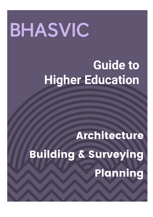# **BHASVIC**

# **Guide to Higher Education**

Architecture

Building & Surveying Planning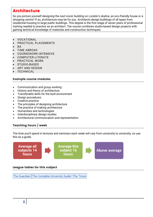### Architecture

Do you picture yourself designing the next iconic building on London's skyline, an eco-friendly house or a shopping centre? If so, architecture may be for you. Architects design buildings of all types from residential housing to large public buildings. This degree is the first stage of seven years of professional training needed to practice as an architect. The course combines studio-based design projects with gaining technical knowledge of materials and construction techniques.

- VOCATIONAL
- PRACTICAL PLACEMENTS
- BA
- TIME ABROAD
- COURSEWORK-INTENSIVE
- COMPUTER-LITERATE
- PRACTICAL WORK
- STUDIO-BASED
- ART AND DESIGN
- TECHNICAL

#### Example course modules

- Communication and group working
- History and theory of architecture
- Transferable skills for the built environment
- Design procedures
- Creative practice
- The principles of designing architecture
- The practice of making architecture
- Humanities and technologies
- Interdisciplinary design studies
- Architectural communication and representation

#### Teaching hours / week

The time you'll spend in lectures and seminars each week will vary from university to university, so use this as a guide.



#### League tables for this subject

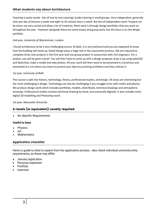Teaching is quite varied - lots of one-to-one tutoring/ studio tutoring in small groups. Very independent, generally only one day of lectures a week and eight to 10 contact hours a week. But lots of independent work. Projects set by tutors are very varied and allow a lot of creativity. Most work is through design portfolios that you work on throughout the year - however alongside these are some essays and group work, but the focus is on the design portfolio.

#### *2nd year, University of Westminster, London*

I found architecture to be a very challenging course. At Bath, it is very technical and you are expected to know how the building will stand up. Detail design plays a huge role in the assessment process. We are required to complete three solo projects in the first year and one group project in conjunction with civil engineers. For a project, you will be given a brief. You will then have to come up with a design proposal, draw it up using autoCAD and SketchUp, make a model and take photos. All your work will then need to be presented in a brochure and presented at a crit where you have to present your idea to practicing architects and they criticise it.

#### *1st year, University of Bath*

The course is split into history, technology, theory, professional studies, and design. All areas are interesting but the most challenging is design. Technology can also be challenging if you struggle more with maths and physics. We produce design work which includes portfolios, models, sketchbook, technical drawings and atmospheric drawings. Professional studies involves technical drawing by hand, and eventually digitally. It also includes some digital 3D modelling and Photoshop work.

*1st year, Newcastle University*

#### A-levels (or equivalent) usually required

No Specific Requirements

#### **Useful to have**

- Physics
- Art
- **Mathematics**

#### Application checklist

Here's a guide to what to expect from the application process - also check individual university entry requirements, as these may differ.

- January application
- Personal statement
- Portfolio
- Interview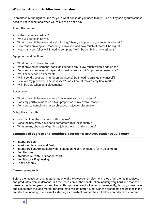Is architecture the right course for you? What books do you need to buy? Find out by asking tutors these need-to-know questions when you're out at an open day...

#### **About the course**

- Is the course accredited?
- Who will be teaching me?
- What's the split between critical thinking / theory and practical, project-based work?
- How much drawing and modelling is involved, and how much of that will be digital?
- How many portfolios will I need to complete? Will I be exhibiting my work at all?

#### **Equipment and facilities**

- What books do I need to buy?
- What drawing equipment / tools do I need to buy? How much will this add up to?
- Do I need a computer with specialist design programs? Do you recommend any?
- Work experience / placements
- Will I spend a year working for an architects? Do I need to arrange this myself?
- How will my placements be assessed? Does it count towards my final mark?
- Will I be paid when on a placement?

#### **Assessment**

- What's the split between exams / coursework / group projects?
- Does my portfolio make up a high proportion of my overall mark?
- Do I need to complete a research-based project or dissertation

#### **Going the extra mile**

- How can I get the most out of this degree?
- Does the university have good contacts within the industry?
- What are my chances of getting a job at the end of this course?

#### Examples of degrees and combined degrees for BHASVIC student's 2019 entry

- Interior Design
- Interior Architecture and Design
- Interior Design Architecture with Foundation Year Architecture (with placement)
- Architecture
- Architecture (with Foundation Year)
- Architectural Engineering
- Land Economy

#### Career prospects

Before the recession, architecture had one of the lowest unemployment rates of all the main subjects, and graduates were in demand. But the recession hit the construction industry very hard and that has meant a tough few years for architects. Things have been looking up more recently, though, so we hope and expect that the jobs market for architects will get better. Most working architects secure jobs in the architecture industry, more usually starting as assistants rather than full-blown architects or chartered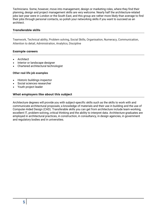Technicians. Some, however, move into management, design or marketing roles, where they find their planning, design and project management skills are very welcome. Nearly half the architecture-related jobs last year were in London or the South East, and this group are rather more likely than average to find their jobs through personal contacts, so polish your networking skills if you want to succeed as an architect.

#### Transferable skills

Teamwork, Technical ability, Problem solving, Social Skills, Organisation, Numeracy, Communication, Attention to detail, Administration, Analytics, Discipline

#### Example careers

- Architect
- Interior or landscape designer
- Chartered architectural technologist

#### **Other real-life job examples**

- Historic buildings inspector
- Social sciences researcher
- Youth project leader

#### What employers like about this subject

Architecture degrees will provide you with subject-specific skills such as the skills to work with and communicate architectural proposals; a knowledge of materials and their use in building and the use of Computer-Aided Design (CAD). Transferable skills you can get from architecture include team-working, excellent IT, problem-solving, critical thinking and the ability to interpret data. Architecture graduates are employed in architectural practices, in construction, in consultancy, in design agencies, in government and regulatory bodies and in universities.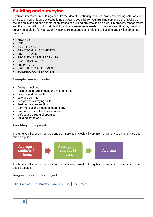## Building and surveying

If you are interested in buildings and like the idea of identifying technical problems, finding solutions and giving technical or legal advice, building surveying could be for you. Building surveyors are involved at the design, planning and construction stages of building projects and also work in property management and the conservation of historic buildings. If you are more interested in business and finance, quantity surveying could be for you. Quantity surveyors manage costs relating to building and civil engineering projects.

- FINANCE
- **BSC**
- VOCATIONAL
- PRACTICAL PLACEMENTS
- TIME IN LABS
- PROBLEM-BASED LEARNING
- PRACTICAL WORK
- TECHNICAL
- PROPERTY MANAGEMENT
- BUILDING CONSERVATION

#### Example course modules

- Design principles
- Residential refurbishment and maintenance
- Science and materials
- Law and contract
- Design and surveying skills
- Residential construction
- Commercial and industrial technology
- Pre-and post-contract procedures
- Defect and structural appraisal
- Building pathology

#### Teaching hours / week

The time you'll spend in lectures and seminars each week will vary from university to university, so use this as a guide.



The time you'll spend in lectures and seminars each week will vary from university to university, so use this as a guide.

#### League tables for this subject

The [Guardian](https://www.theguardian.com/education/ng-interactive/2017/may/16/university-league-tables-2018) The Complete [University](http://www.thecompleteuniversityguide.co.uk/league-tables/rankings?s=Architecture) Guide The [Times](https://www.thetimes.co.uk/article/top-by-subject-mgbnm672r)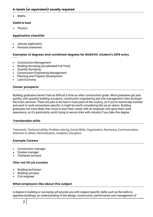Maths

#### **Useful to have**

Physics

#### Application checklist

- January application
- Personal statement

#### Examples of degrees and combined degrees for BHASVIC student's 2019 entry

- Construction Management
- Building Surveying (Accelerated Full-Time)
- Quantity Surveying
- Construction Engineering Management
- Planning and Property Development
- Land Economy

#### Career prospects

Building graduates haven't had as difficult a time as other construction grads. Most graduates get jobs quickly, with quantity building surveyors, construction engineering and site management roles amongst the most common. There are jobs to be had in most parts of the country, so if you're technically-inclined and want to work somewhere specific, it might be worth considering this as an option. Building graduates are more likely than most to start their career with an employer who gave them work experience, so it's particularly worth trying to secure links with industry if you take this degree.

#### Transferable skills

Teamwork, Technical ability, Problem solving, Social Skills, Organisation, Numeracy, Communication, Attention to detail, Administration, Analytics, Discipline

#### Example Careers

- Construction manager
- Estates manager
- Chartered surveyor

#### **Other real-life job examples**

- Building technician
- Building surveyor
- Civil engineer

#### What employers like about this subject

A degree in building or surveying will provide you with subject-specific skills such as the skills to appraise buildings; an understanding of the design, construction, performance and management of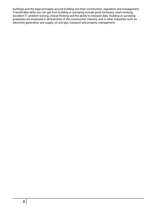buildings and the legal principles around building and their construction, regulation and management. Transferable skills you can get from building or surveying include good numeracy, team-working, excellent IT, problem-solving, critical thinking and the ability to interpret data. Building or surveying graduates are employed in all branches of the construction industry, and in other industries such as electricity generation and supply, oil and gas, transport and property management.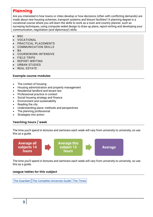# Planning

Are you interested in how towns or cities develop or how decisions (often with conflicting demands) are made about new housing schemes, transport systems and leisure facilities? A planning degree is a vocational course where you will learn the skills to work as a town and country planner, such as surveying techniques, using computer-aided design to draw up plans, report-writing and developing your communication, negotiation (and diplomacy!) skills.

- $-BSC$
- VOCATIONAL
- PRACTICAL PLACEMENTS
- COMMUNICATION SKILLS
- BA
- COURSEWORK-INTENSIVE
- FIELD TRIPS
- REPORT-WRITING
- URBAN STUDIES
- REAL ESTATE

#### Example course modules

- The context of housing
- Housing administration and property management
- Residential landlord and tenant law
- Professional practice in context
- Social housing strategy and finance
- Environment and sustainability
- Reading the city
- Understanding place: methods and perspectives
- The planning professional
- Strategies into action

#### Teaching hours / week

The time you'll spend in lectures and seminars each week will vary from university to university, so use this as a guide.



The time you'll spend in lectures and seminars each week will vary from university to university, so use this as a guide.

#### League tables for this subject

The [Guardian](https://www.theguardian.com/education/ng-interactive/2017/may/16/university-league-tables-2018) The Complete [University](http://www.thecompleteuniversityguide.co.uk/league-tables/rankings?s=Architecture) Guide The [Times](https://www.thetimes.co.uk/article/top-by-subject-mgbnm672r)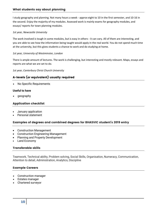I study geography and planning. Not many hours a week - approx eight to 10 in the first semester, and 10-16 in the second. Enjoy the majority of my modules. Assessed work is mainly exams for geography modules, and essays/ reports for town planning modules.

#### *1st year, Newcastle University*

The work involved is tough in some modules, but is easy in others - it can vary. All of them are interesting, and you are able to see how the information being taught would apply in the real world. You do not spend much time at the university, but this gives students a chance to work and do studying at home.

#### *1st year, University of Westminster, London*

There is ample amount of lectures. The work is challenging, but interesting and mostly relevant. Maps, essays and reports are what we are set to do.

*1st year, Canterbury Christ Church University*

#### A-levels (or equivalent) usually required

No Specific Requirements

#### **Useful to have**

geography

#### Application checklist

- January application
- Personal statement

#### Examples of degrees and combined degrees for BHASVIC student's 2019 entry

- Construction Management
- Construction Engineering Management
- Planning and Property Development
- Land Economy

#### Transferable skills

Teamwork, Technical ability, Problem solving, Social Skills, Organisation, Numeracy, Communication, Attention to detail, Administration, Analytics, Discipline

#### Example Careers

- Construction manager
- Estates manager
- Chartered surveyor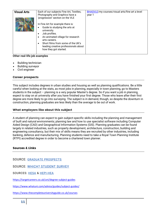| Each of our subjects Fine Art, Textiles,<br>BHASVLE/my courses/visual arts/fine art a level<br><b>Visual Arts</b><br>Photography and Graphics have a<br>year 1<br>'progression' section on the VLE<br>In Fine Art for example there is:<br>Guide to studying the arts at<br>$\bullet$<br>university.<br>Job profiles.<br>An animated village for research<br>arts careers.<br>Short films from some of the UK's |
|-----------------------------------------------------------------------------------------------------------------------------------------------------------------------------------------------------------------------------------------------------------------------------------------------------------------------------------------------------------------------------------------------------------------|

#### **Other real-life job examples**

- Building technician
- Building surveyor
- Civil engineer

#### Career prospects

This subject includes degrees in urban studies and housing as well as planning qualifications. Be a little careful when looking at the stats, as most jobs in planning, especially in town planning, go to Masters students in the subject – planning is a very popular Master's degree. So if you want a job in planning, expect to stay on at university after you have finished your first degree. Those who leave after their first degree are more likely to go into surveying. The subject is in demand, though, so despite the downturn in construction, planning graduates are less likely than the average to be out of work.

#### What employers like about this subject

A student of planning can expect to gain subject-specific skills including the planning and management of built and natural environments; planning law and how to use specialist software including Computer Aided Design (CAD) and Geographical Information Systems (GIS). Planning graduates can be found largely in related industries, such as property development, architecture, construction, building and engineering consultancy, but their mix of skills means they are recruited by other industries, including banking, defence and manufacturing. Planning students need to take a Royal Town Planning Institute (RTPI) accredited degree in order to become a chartered town planner.

#### Sources & Links

SOURCE: GRADUATE [PROSPECTS](https://university.which.co.uk/about/who-we-work-with#graduate-prospects)

SOURCE: WHICH? [STUDENT](https://university.which.co.uk/about/where-we-get-our-info#which-student-survey) SURVEY

SOURCES: [HESA](https://university.which.co.uk/about/where-we-get-our-info#hesa-student-record) & [HEPI-HEA](https://university.which.co.uk/about/where-we-get-our-info#hepi-hea)

<https://targetcareers.co.uk/uni/degree-subject-guides>

<https://www.whatuni.com/advice/guides/subject-guides/>

<https://www.thecompleteuniversityguide.co.uk/courses>